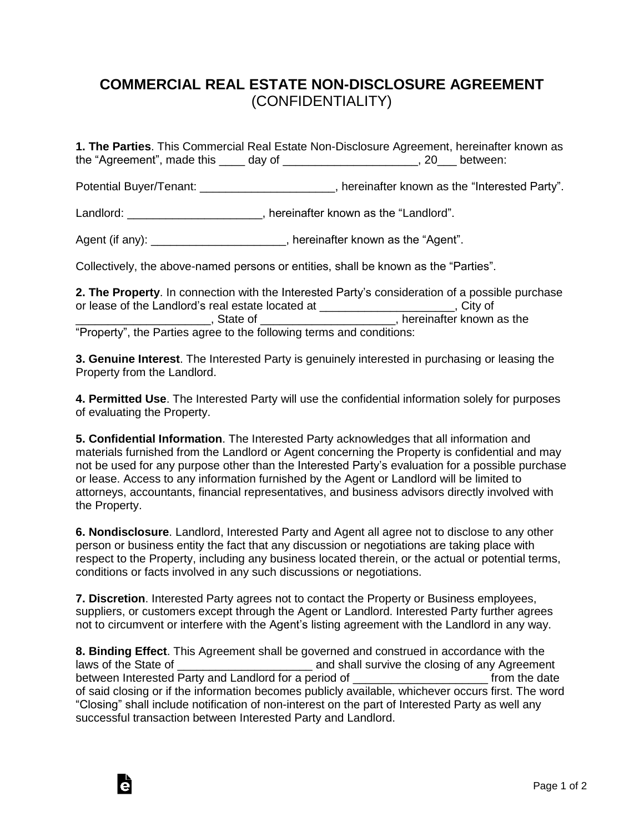## **COMMERCIAL REAL ESTATE NON-DISCLOSURE AGREEMENT** (CONFIDENTIALITY)

**1. The Parties**. This Commercial Real Estate Non-Disclosure Agreement, hereinafter known as the "Agreement", made this \_\_\_\_ day of \_\_\_\_\_\_\_\_\_\_\_\_\_\_\_\_\_\_\_\_\_, 20\_\_\_ between:

Potential Buyer/Tenant: \_\_\_\_\_\_\_\_\_\_\_\_\_\_\_\_\_\_\_\_\_\_, hereinafter known as the "Interested Party".

Landlord: \_\_\_\_\_\_\_\_\_\_\_\_\_\_\_\_\_\_\_\_\_\_, hereinafter known as the "Landlord".

Agent (if any):  $\blacksquare$ , hereinafter known as the "Agent".

Collectively, the above-named persons or entities, shall be known as the "Parties".

**2. The Property**. In connection with the Interested Party's consideration of a possible purchase or lease of the Landlord's real estate located at \_\_\_\_\_\_\_\_\_\_\_\_\_\_\_\_\_\_\_\_\_, City of \_\_\_\_\_\_\_\_\_\_\_\_\_\_\_\_\_\_\_\_\_, State of \_\_\_\_\_\_\_\_\_\_\_\_\_\_\_\_\_\_\_\_\_, hereinafter known as the "Property", the Parties agree to the following terms and conditions:

**3. Genuine Interest**. The Interested Party is genuinely interested in purchasing or leasing the Property from the Landlord.

**4. Permitted Use**. The Interested Party will use the confidential information solely for purposes of evaluating the Property.

**5. Confidential Information**. The Interested Party acknowledges that all information and materials furnished from the Landlord or Agent concerning the Property is confidential and may not be used for any purpose other than the Interested Party's evaluation for a possible purchase or lease. Access to any information furnished by the Agent or Landlord will be limited to attorneys, accountants, financial representatives, and business advisors directly involved with the Property.

**6. Nondisclosure**. Landlord, Interested Party and Agent all agree not to disclose to any other person or business entity the fact that any discussion or negotiations are taking place with respect to the Property, including any business located therein, or the actual or potential terms, conditions or facts involved in any such discussions or negotiations.

**7. Discretion**. Interested Party agrees not to contact the Property or Business employees, suppliers, or customers except through the Agent or Landlord. Interested Party further agrees not to circumvent or interfere with the Agent's listing agreement with the Landlord in any way.

**8. Binding Effect**. This Agreement shall be governed and construed in accordance with the laws of the State of **Exercise 20** and shall survive the closing of any Agreement between Interested Party and Landlord for a period of \_\_\_\_\_\_\_\_\_\_\_\_\_\_\_\_\_\_\_\_\_\_\_\_\_\_ from the date of said closing or if the information becomes publicly available, whichever occurs first. The word "Closing" shall include notification of non-interest on the part of Interested Party as well any successful transaction between Interested Party and Landlord.